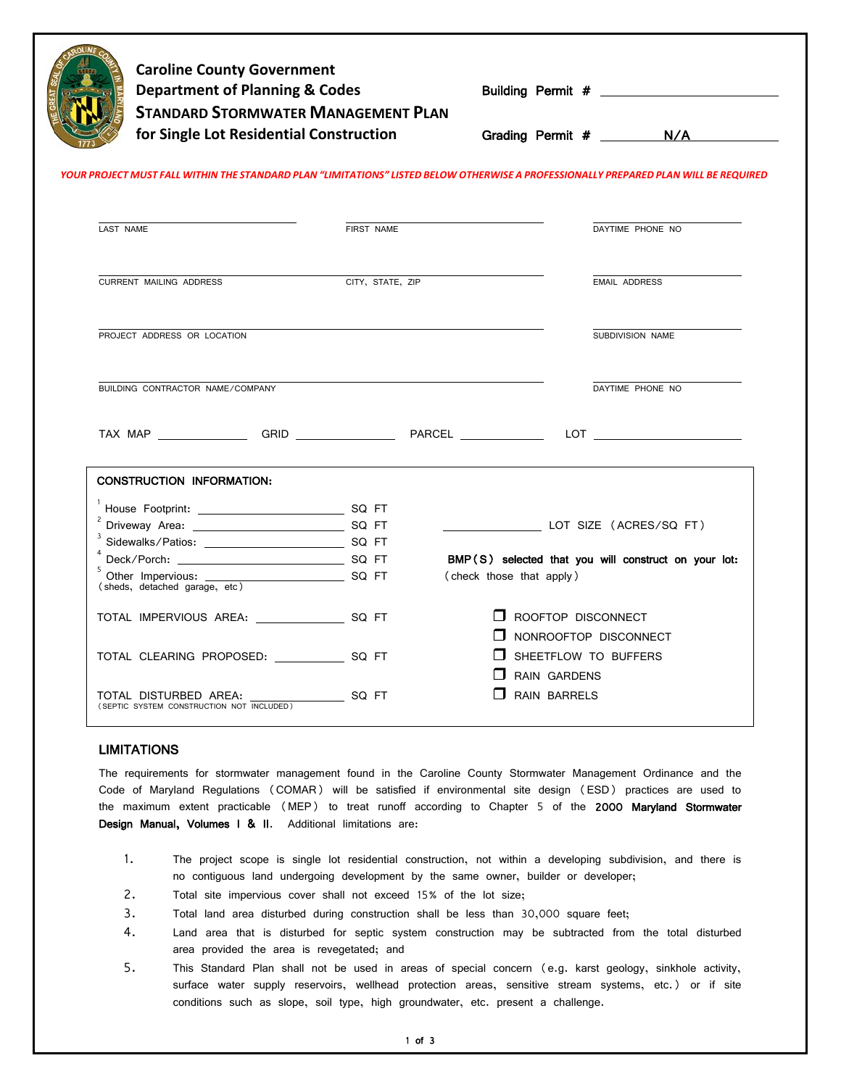| <b>Department of Planning &amp; Codes</b><br><b>STANDARD STORMWATER MANAGEMENT PLAN</b><br>for Single Lot Residential Construction   | <b>Caroline County Government</b> |                          | Building Permit #<br>Grading Permit # N/A                   |
|--------------------------------------------------------------------------------------------------------------------------------------|-----------------------------------|--------------------------|-------------------------------------------------------------|
| YOUR PROJECT MUST FALL WITHIN THE STANDARD PLAN "LIMITATIONS" LISTED BELOW OTHERWISE A PROFESSIONALLY PREPARED PLAN WILL BE REQUIRED |                                   |                          |                                                             |
| LAST NAME                                                                                                                            | FIRST NAME                        |                          | DAYTIME PHONE NO                                            |
| <b>CURRENT MAILING ADDRESS</b>                                                                                                       | CITY, STATE, ZIP                  |                          | <b>EMAIL ADDRESS</b>                                        |
| PROJECT ADDRESS OR LOCATION                                                                                                          |                                   |                          | SUBDIVISION NAME                                            |
| BUILDING CONTRACTOR NAME/COMPANY                                                                                                     |                                   |                          |                                                             |
|                                                                                                                                      |                                   |                          | DAYTIME PHONE NO                                            |
|                                                                                                                                      |                                   |                          | $LOT \nightharpoonup$ $\qquad \qquad$                       |
| <b>CONSTRUCTION INFORMATION:</b>                                                                                                     |                                   |                          |                                                             |
|                                                                                                                                      |                                   |                          |                                                             |
|                                                                                                                                      |                                   |                          | LOT SIZE (ACRES/SQ FT)                                      |
|                                                                                                                                      |                                   |                          |                                                             |
| 5<br>(sheds, detached garage, etc)                                                                                                   |                                   | (check those that apply) | BMP(S) selected that you will construct on your lot:        |
|                                                                                                                                      |                                   |                          | $\Box$ ROOFTOP DISCONNECT                                   |
| TOTAL CLEARING PROPOSED: SQ FT                                                                                                       |                                   | RAIN GARDENS             | $\Box$ NONROOFTOP DISCONNECT<br>$\Box$ SHEETFLOW TO BUFFERS |

## LIMITATIONS

j

The requirements for stormwater management found in the Caroline County Stormwater Management Ordinance and the Code of Maryland Regulations (COMAR) will be satisfied if environmental site design (ESD) practices are used to the maximum extent practicable (MEP) to treat runoff according to Chapter 5 of the 2000 Maryland Stormwater Design Manual, Volumes I & II. Additional limitations are:

- 1. The project scope is single lot residential construction, not within a developing subdivision, and there is no contiguous land undergoing development by the same owner, builder or developer;
- 2. Total site impervious cover shall not exceed 15% of the lot size;
- 3. Total land area disturbed during construction shall be less than 30,000 square feet;
- 4. Land area that is disturbed for septic system construction may be subtracted from the total disturbed area provided the area is revegetated; and
- 5. This Standard Plan shall not be used in areas of special concern (e.g. karst geology, sinkhole activity, surface water supply reservoirs, wellhead protection areas, sensitive stream systems, etc.) or if site conditions such as slope, soil type, high groundwater, etc. present a challenge.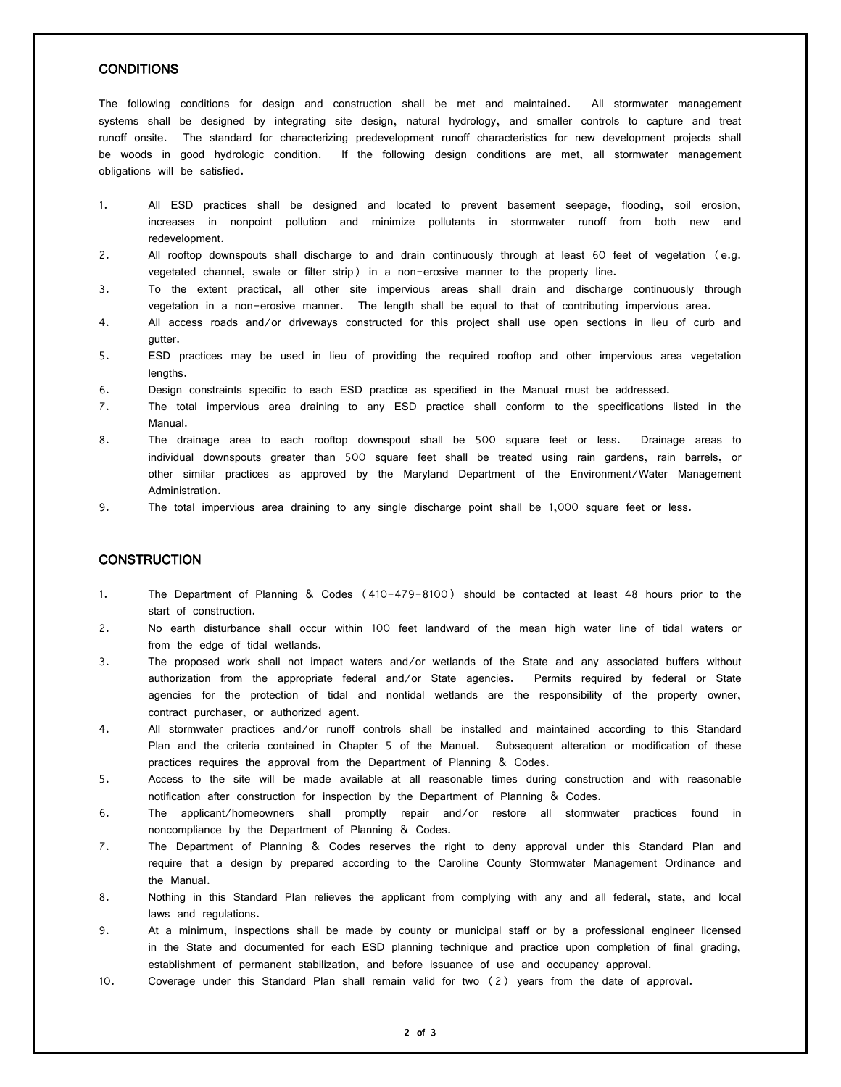## **CONDITIONS**

The following conditions for design and construction shall be met and maintained. All stormwater management systems shall be designed by integrating site design, natural hydrology, and smaller controls to capture and treat runoff onsite. The standard for characterizing predevelopment runoff characteristics for new development projects shall be woods in good hydrologic condition. If the following design conditions are met, all stormwater management obligations will be satisfied.

- 1. All ESD practices shall be designed and located to prevent basement seepage, flooding, soil erosion, increases in nonpoint pollution and minimize pollutants in stormwater runoff from both new and redevelopment.
- 2. All rooftop downspouts shall discharge to and drain continuously through at least 60 feet of vegetation (e.g. vegetated channel, swale or filter strip) in a non-erosive manner to the property line.
- 3. To the extent practical, all other site impervious areas shall drain and discharge continuously through vegetation in a non-erosive manner. The length shall be equal to that of contributing impervious area.
- 4. All access roads and/or driveways constructed for this project shall use open sections in lieu of curb and gutter.
- 5. ESD practices may be used in lieu of providing the required rooftop and other impervious area vegetation lengths.
- 6. Design constraints specific to each ESD practice as specified in the Manual must be addressed.
- 7. The total impervious area draining to any ESD practice shall conform to the specifications listed in the Manual.
- 8. The drainage area to each rooftop downspout shall be 500 square feet or less. Drainage areas to individual downspouts greater than 500 square feet shall be treated using rain gardens, rain barrels, or other similar practices as approved by the Maryland Department of the Environment/Water Management Administration.
- 9. The total impervious area draining to any single discharge point shall be 1,000 square feet or less.

## **CONSTRUCTION**

- 1. The Department of Planning & Codes (410-479-8100) should be contacted at least 48 hours prior to the start of construction.
- 2. No earth disturbance shall occur within 100 feet landward of the mean high water line of tidal waters or from the edge of tidal wetlands.
- 3. The proposed work shall not impact waters and/or wetlands of the State and any associated buffers without authorization from the appropriate federal and/or State agencies. Permits required by federal or State agencies for the protection of tidal and nontidal wetlands are the responsibility of the property owner, contract purchaser, or authorized agent.
- 4. All stormwater practices and/or runoff controls shall be installed and maintained according to this Standard Plan and the criteria contained in Chapter 5 of the Manual. Subsequent alteration or modification of these practices requires the approval from the Department of Planning & Codes.
- 5. Access to the site will be made available at all reasonable times during construction and with reasonable notification after construction for inspection by the Department of Planning & Codes.
- 6. The applicant/homeowners shall promptly repair and/or restore all stormwater practices found in noncompliance by the Department of Planning & Codes.
- 7. The Department of Planning & Codes reserves the right to deny approval under this Standard Plan and require that a design by prepared according to the Caroline County Stormwater Management Ordinance and the Manual.
- 8. Nothing in this Standard Plan relieves the applicant from complying with any and all federal, state, and local laws and regulations.
- 9. At a minimum, inspections shall be made by county or municipal staff or by a professional engineer licensed in the State and documented for each ESD planning technique and practice upon completion of final grading, establishment of permanent stabilization, and before issuance of use and occupancy approval.
- 10. Coverage under this Standard Plan shall remain valid for two (2) years from the date of approval.